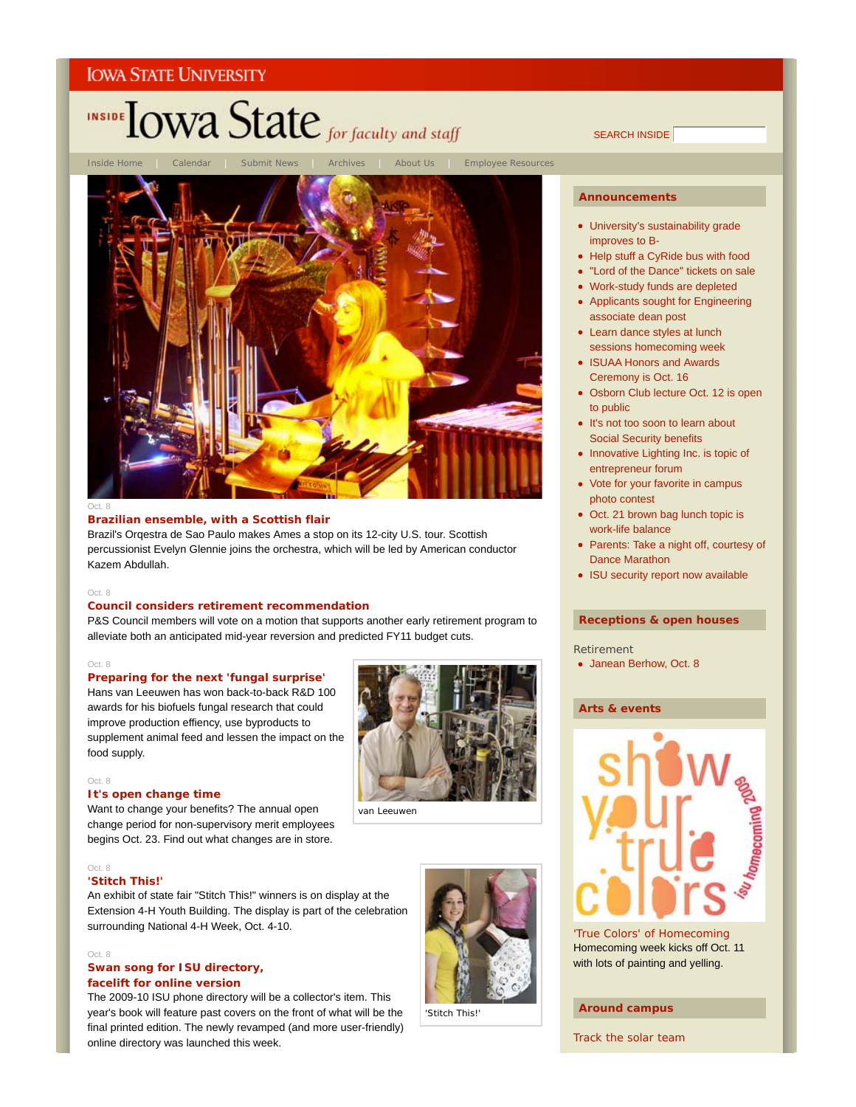# INSIDE TOWA State for faculty and staff

Inside Home | Calendar | Submit News | Archives | About Us | Employee Resources



#### Oct. 8

### **Brazilian ensemble, with a Scottish flair**

Brazil's Orqestra de Sao Paulo makes Ames a stop on its 12-city U.S. tour. Scottish percussionist Evelyn Glennie joins the orchestra, which will be led by American conductor Kazem Abdullah.

### Oct. 8

### **Council considers retirement recommendation**

P&S Council members will vote on a motion that supports another early retirement program to alleviate both an anticipated mid-year reversion and predicted FY11 budget cuts.

### Oct. 8

### **Preparing for the next 'fungal surprise'**

Hans van Leeuwen has won back-to-back R&D 100 awards for his biofuels fungal research that could improve production effiency, use byproducts to supplement animal feed and lessen the impact on the food supply.

Want to change your benefits? The annual open change period for non-supervisory merit employees begins Oct. 23. Find out what changes are in store.



van Leeuwen

#### Oct. 8

Oct. 8

#### **'Stitch This!'**

**It's open change time**

An exhibit of state fair "Stitch This!" winners is on display at the Extension 4-H Youth Building. The display is part of the celebration surrounding National 4-H Week, Oct. 4-10.

#### Oct. 8

### **Swan song for ISU directory, facelift for online version**

The 2009-10 ISU phone directory will be a collector's item. This year's book will feature past covers on the front of what will be the final printed edition. The newly revamped (and more user-friendly) online directory was launched this week.

# SEARCH INSIDE

### **Announcements**

- University's sustainability grade improves to B-
- Help stuff a CyRide bus with food
- "Lord of the Dance" tickets on sale
- Work-study funds are depleted
- Applicants sought for Engineering associate dean post
- Learn dance styles at lunch sessions homecoming week
- ISUAA Honors and Awards Ceremony is Oct. 16
- Osborn Club lecture Oct. 12 is open to public
- It's not too soon to learn about Social Security benefits
- Innovative Lighting Inc. is topic of entrepreneur forum
- Vote for your favorite in campus photo contest
- Oct. 21 brown bag lunch topic is work-life balance
- Parents: Take a night off, courtesy of Dance Marathon
- ISU security report now available

### **Receptions & open houses**

- Retirement
- Janean Berhow, Oct. 8

### **Arts & events**



'True Colors' of Homecoming Homecoming week kicks off Oct. 11 with lots of painting and yelling.

### **Around campus**

Track the solar team

'Stitch This!'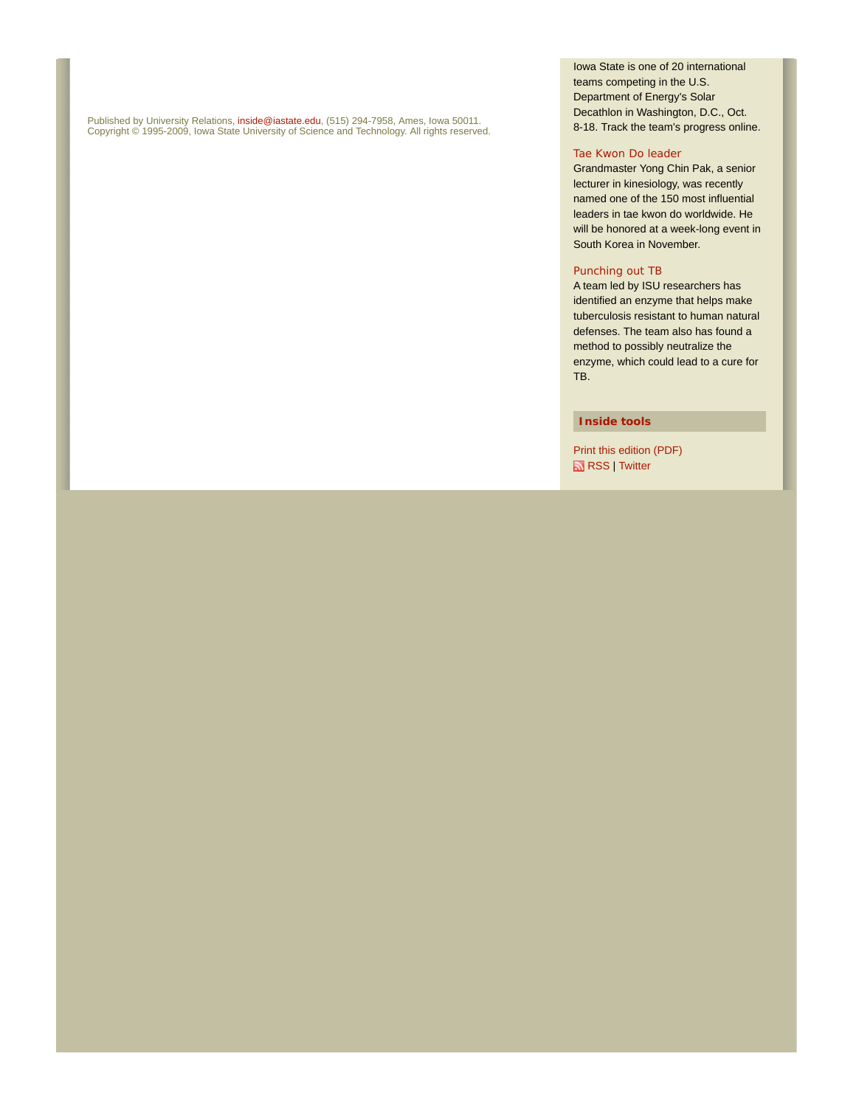Published by University Relations, inside@iastate.edu, (515) 294-7958, Ames, Iowa 50011. Copyright © 1995-2009, Iowa State University of Science and Technology. All rights reserved. Iowa State is one of 20 international teams competing in the U.S. Department of Energy's Solar Decathlon in Washington, D.C., Oct. 8-18. Track the team's progress online.

### Tae Kwon Do leader

Grandmaster Yong Chin Pak, a senior lecturer in kinesiology, was recently named one of the 150 most influential leaders in tae kwon do worldwide. He will be honored at a week-long event in South Korea in November.

### Punching out TB

A team led by ISU researchers has identified an enzyme that helps make tuberculosis resistant to human natural defenses. The team also has found a method to possibly neutralize the enzyme, which could lead to a cure for TB.

### **Inside tools**

Print this edition (PDF) **RSS** | Twitter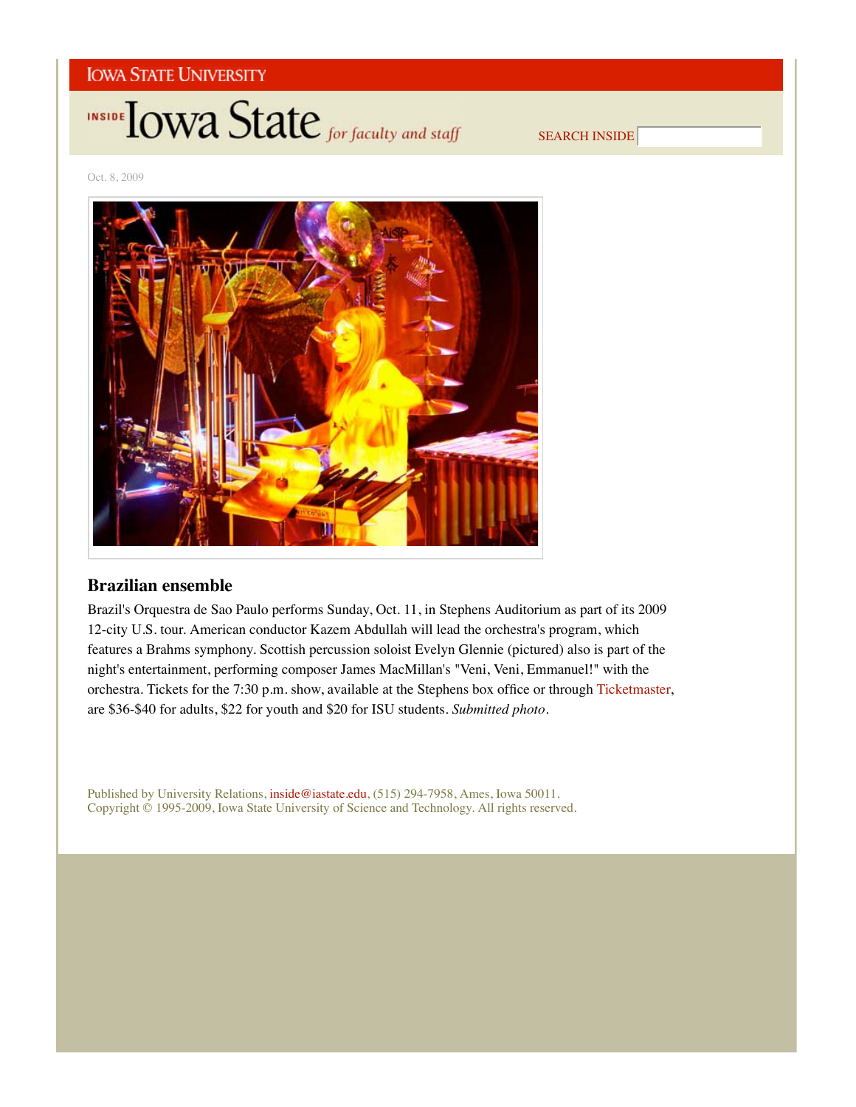

SEARCH INSIDE

Oct. 8, 2009



# **Brazilian ensemble**

Brazil's Orquestra de Sao Paulo performs Sunday, Oct. 11, in Stephens Auditorium as part of its 2009 12-city U.S. tour. American conductor Kazem Abdullah will lead the orchestra's program, which features a Brahms symphony. Scottish percussion soloist Evelyn Glennie (pictured) also is part of the night's entertainment, performing composer James MacMillan's "Veni, Veni, Emmanuel!" with the orchestra. Tickets for the 7:30 p.m. show, available at the Stephens box office or through Ticketmaster, are \$36-\$40 for adults, \$22 for youth and \$20 for ISU students. *Submitted photo*.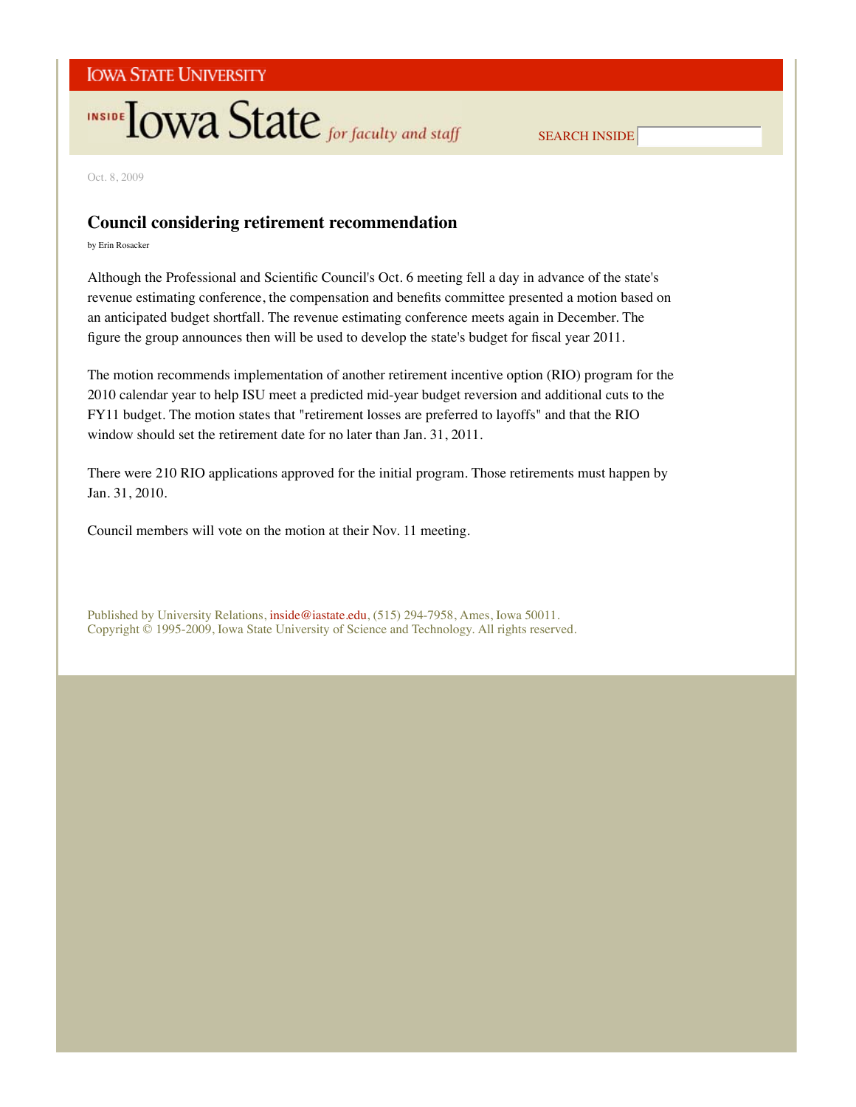# **INSIDE TOWA State** for faculty and staff

SEARCH INSIDE

Oct. 8, 2009

## **Council considering retirement recommendation**

by Erin Rosacker

Although the Professional and Scientific Council's Oct. 6 meeting fell a day in advance of the state's revenue estimating conference, the compensation and benefits committee presented a motion based on an anticipated budget shortfall. The revenue estimating conference meets again in December. The figure the group announces then will be used to develop the state's budget for fiscal year 2011.

The motion recommends implementation of another retirement incentive option (RIO) program for the 2010 calendar year to help ISU meet a predicted mid-year budget reversion and additional cuts to the FY11 budget. The motion states that "retirement losses are preferred to layoffs" and that the RIO window should set the retirement date for no later than Jan. 31, 2011.

There were 210 RIO applications approved for the initial program. Those retirements must happen by Jan. 31, 2010.

Council members will vote on the motion at their Nov. 11 meeting.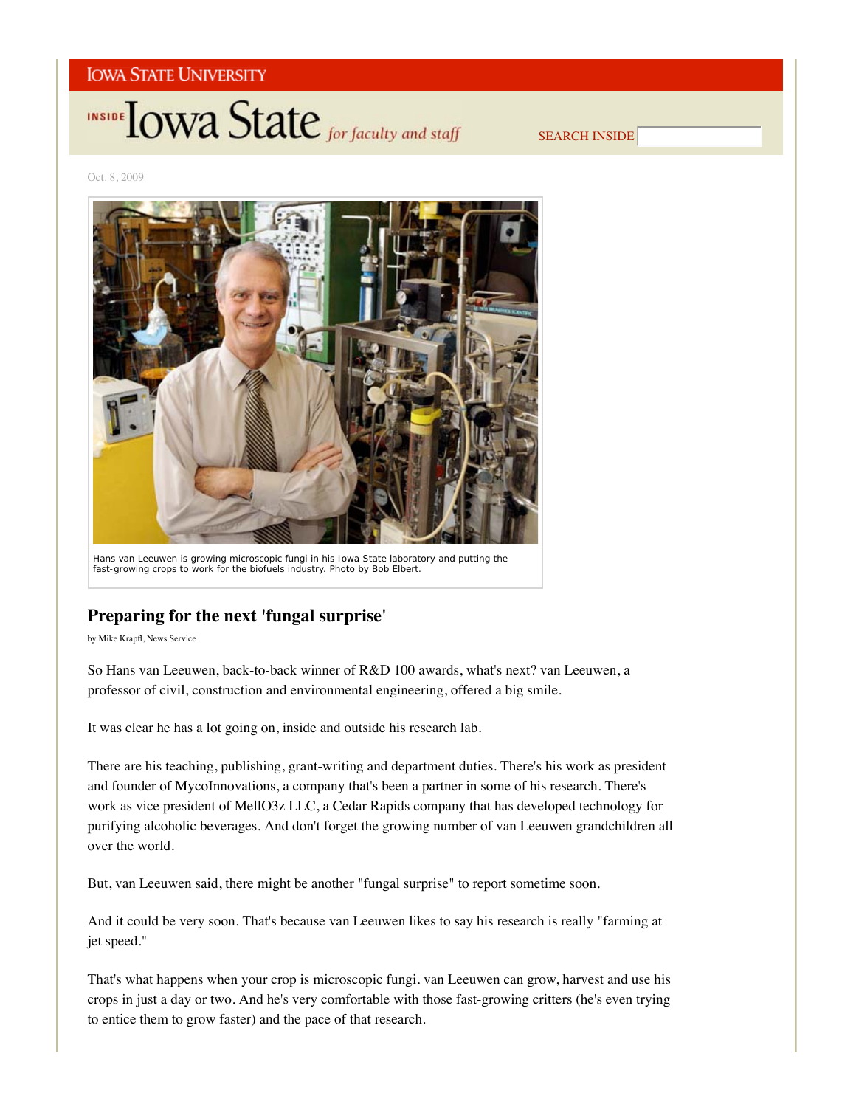

SEARCH INSIDE

Oct. 8, 2009



Hans van Leeuwen is growing microscopic fungi in his Iowa State laboratory and putting the fast-growing crops to work for the biofuels industry. *Photo by Bob Elbert.*

# **Preparing for the next 'fungal surprise'**

by Mike Krapfl, News Service

So Hans van Leeuwen, back-to-back winner of R&D 100 awards, what's next? van Leeuwen, a professor of civil, construction and environmental engineering, offered a big smile.

It was clear he has a lot going on, inside and outside his research lab.

There are his teaching, publishing, grant-writing and department duties. There's his work as president and founder of MycoInnovations, a company that's been a partner in some of his research. There's work as vice president of MellO3z LLC, a Cedar Rapids company that has developed technology for purifying alcoholic beverages. And don't forget the growing number of van Leeuwen grandchildren all over the world.

But, van Leeuwen said, there might be another "fungal surprise" to report sometime soon.

And it could be very soon. That's because van Leeuwen likes to say his research is really "farming at jet speed."

That's what happens when your crop is microscopic fungi. van Leeuwen can grow, harvest and use his crops in just a day or two. And he's very comfortable with those fast-growing critters (he's even trying to entice them to grow faster) and the pace of that research.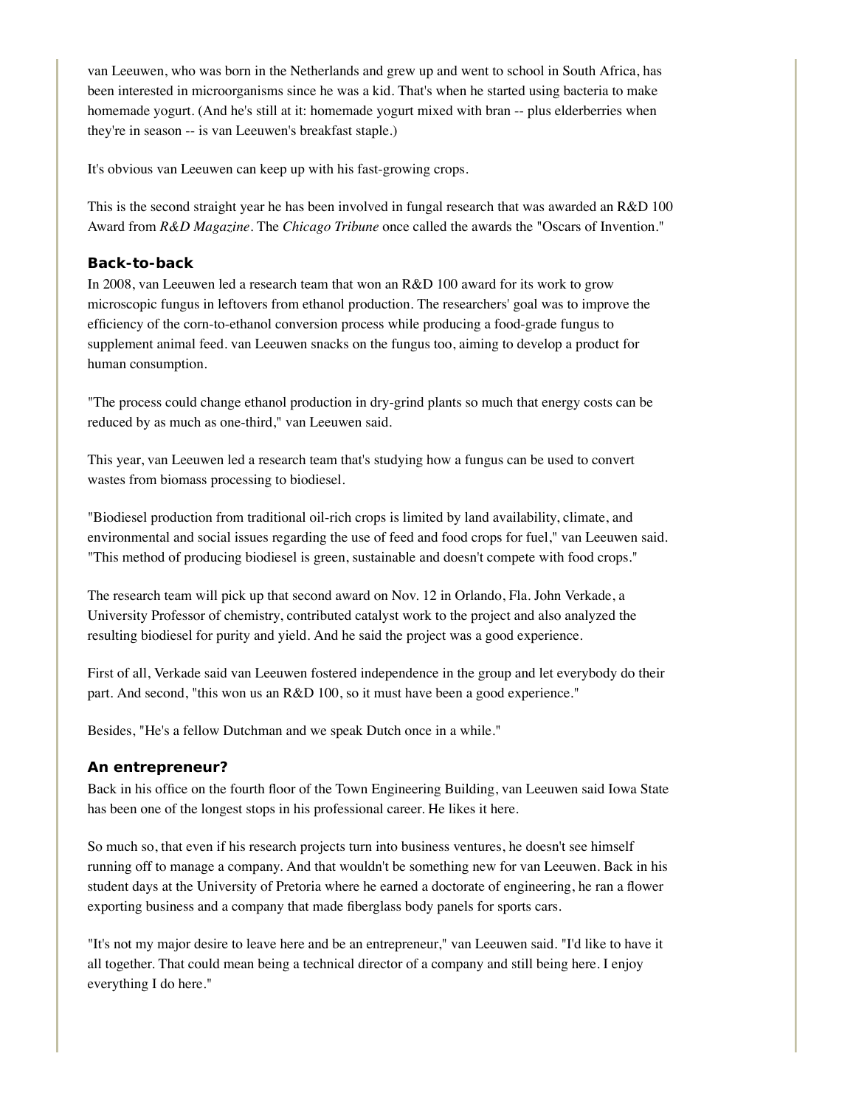van Leeuwen, who was born in the Netherlands and grew up and went to school in South Africa, has been interested in microorganisms since he was a kid. That's when he started using bacteria to make homemade yogurt. (And he's still at it: homemade yogurt mixed with bran -- plus elderberries when they're in season -- is van Leeuwen's breakfast staple.)

It's obvious van Leeuwen can keep up with his fast-growing crops.

This is the second straight year he has been involved in fungal research that was awarded an R&D 100 Award from *R&D Magazine*. The *Chicago Tribune* once called the awards the "Oscars of Invention."

### **Back-to-back**

In 2008, van Leeuwen led a research team that won an R&D 100 award for its work to grow microscopic fungus in leftovers from ethanol production. The researchers' goal was to improve the efficiency of the corn-to-ethanol conversion process while producing a food-grade fungus to supplement animal feed. van Leeuwen snacks on the fungus too, aiming to develop a product for human consumption.

"The process could change ethanol production in dry-grind plants so much that energy costs can be reduced by as much as one-third," van Leeuwen said.

This year, van Leeuwen led a research team that's studying how a fungus can be used to convert wastes from biomass processing to biodiesel.

"Biodiesel production from traditional oil-rich crops is limited by land availability, climate, and environmental and social issues regarding the use of feed and food crops for fuel," van Leeuwen said. "This method of producing biodiesel is green, sustainable and doesn't compete with food crops."

The research team will pick up that second award on Nov. 12 in Orlando, Fla. John Verkade, a University Professor of chemistry, contributed catalyst work to the project and also analyzed the resulting biodiesel for purity and yield. And he said the project was a good experience.

First of all, Verkade said van Leeuwen fostered independence in the group and let everybody do their part. And second, "this won us an R&D 100, so it must have been a good experience."

Besides, "He's a fellow Dutchman and we speak Dutch once in a while."

### **An entrepreneur?**

Back in his office on the fourth floor of the Town Engineering Building, van Leeuwen said Iowa State has been one of the longest stops in his professional career. He likes it here.

So much so, that even if his research projects turn into business ventures, he doesn't see himself running off to manage a company. And that wouldn't be something new for van Leeuwen. Back in his student days at the University of Pretoria where he earned a doctorate of engineering, he ran a flower exporting business and a company that made fiberglass body panels for sports cars.

"It's not my major desire to leave here and be an entrepreneur," van Leeuwen said. "I'd like to have it all together. That could mean being a technical director of a company and still being here. I enjoy everything I do here."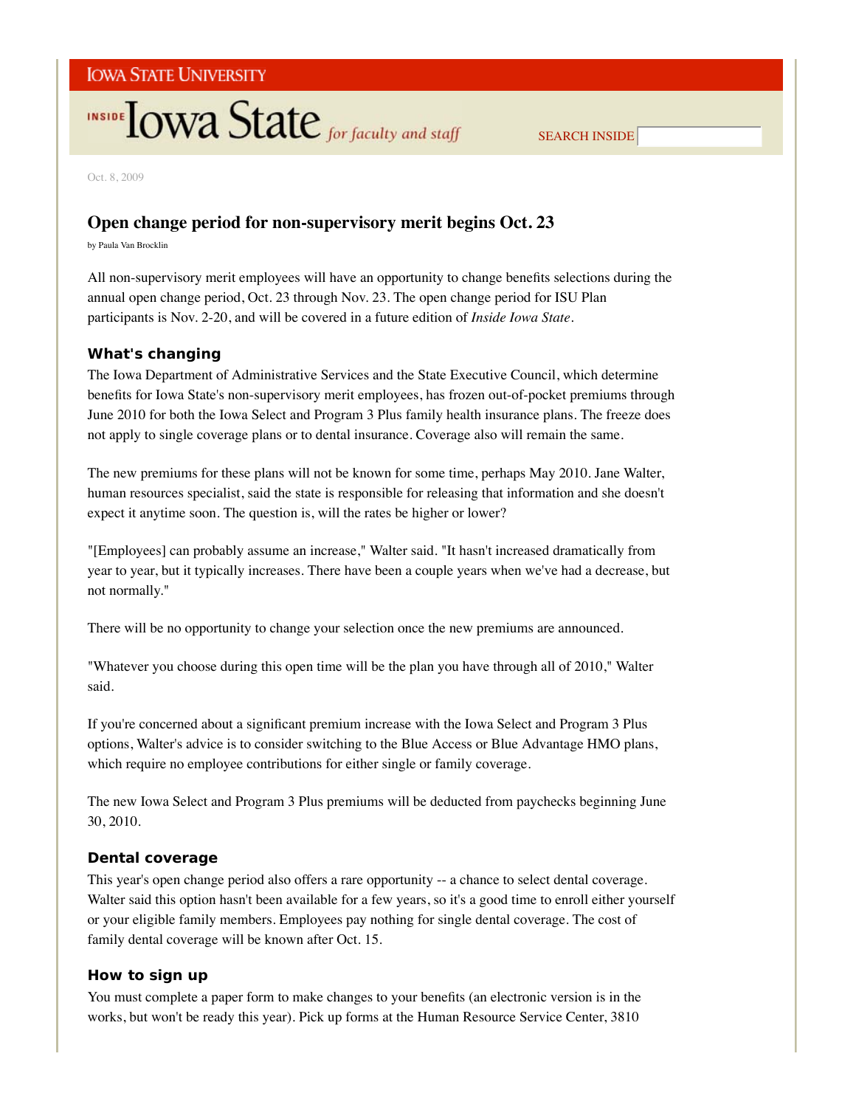# **INSIDE TOWA State** for faculty and staff

SEARCH INSIDE

Oct. 8, 2009

## **Open change period for non-supervisory merit begins Oct. 23**

by Paula Van Brocklin

All non-supervisory merit employees will have an opportunity to change benefits selections during the annual open change period, Oct. 23 through Nov. 23. The open change period for ISU Plan participants is Nov. 2-20, and will be covered in a future edition of *Inside Iowa State*.

## **What's changing**

The Iowa Department of Administrative Services and the State Executive Council, which determine benefits for Iowa State's non-supervisory merit employees, has frozen out-of-pocket premiums through June 2010 for both the Iowa Select and Program 3 Plus family health insurance plans. The freeze does not apply to single coverage plans or to dental insurance. Coverage also will remain the same.

The new premiums for these plans will not be known for some time, perhaps May 2010. Jane Walter, human resources specialist, said the state is responsible for releasing that information and she doesn't expect it anytime soon. The question is, will the rates be higher or lower?

"[Employees] can probably assume an increase," Walter said. "It hasn't increased dramatically from year to year, but it typically increases. There have been a couple years when we've had a decrease, but not normally."

There will be no opportunity to change your selection once the new premiums are announced.

"Whatever you choose during this open time will be the plan you have through all of 2010," Walter said.

If you're concerned about a significant premium increase with the Iowa Select and Program 3 Plus options, Walter's advice is to consider switching to the Blue Access or Blue Advantage HMO plans, which require no employee contributions for either single or family coverage.

The new Iowa Select and Program 3 Plus premiums will be deducted from paychecks beginning June 30, 2010.

## **Dental coverage**

This year's open change period also offers a rare opportunity -- a chance to select dental coverage. Walter said this option hasn't been available for a few years, so it's a good time to enroll either yourself or your eligible family members. Employees pay nothing for single dental coverage. The cost of family dental coverage will be known after Oct. 15.

## **How to sign up**

You must complete a paper form to make changes to your benefits (an electronic version is in the works, but won't be ready this year). Pick up forms at the Human Resource Service Center, 3810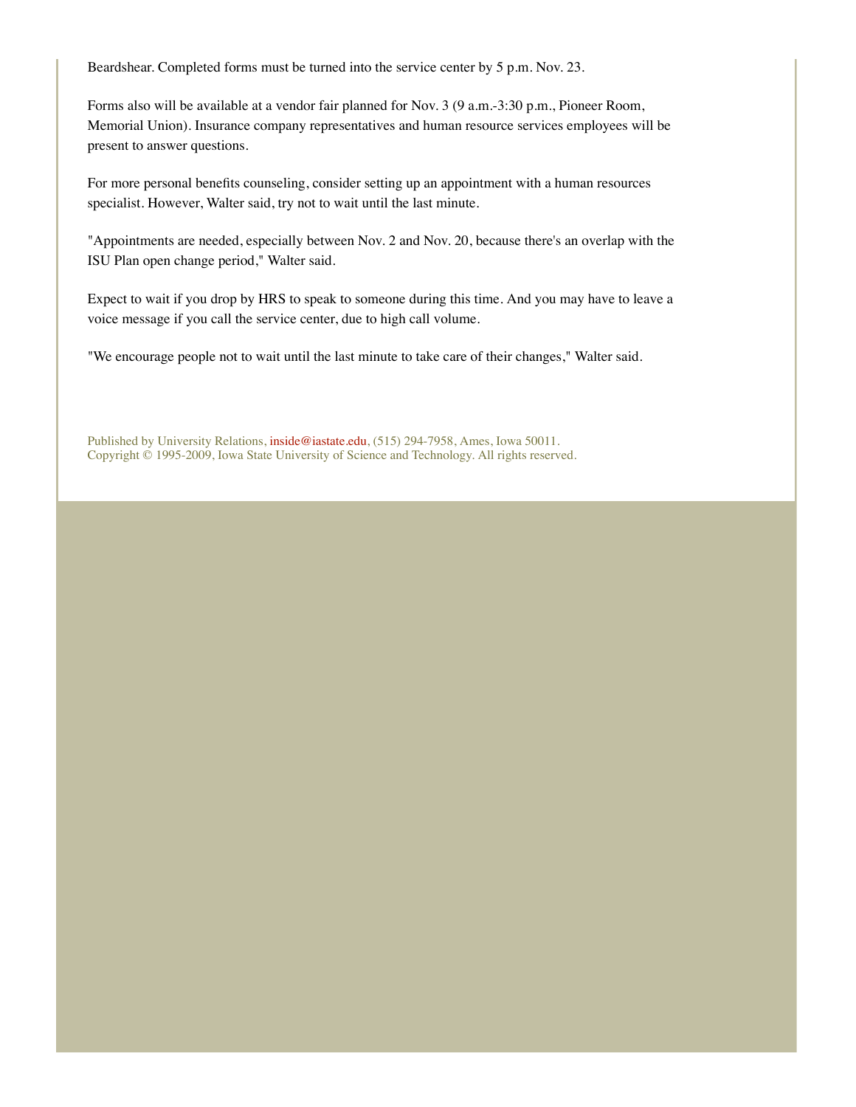Beardshear. Completed forms must be turned into the service center by 5 p.m. Nov. 23.

Forms also will be available at a vendor fair planned for Nov. 3 (9 a.m.-3:30 p.m., Pioneer Room, Memorial Union). Insurance company representatives and human resource services employees will be present to answer questions.

For more personal benefits counseling, consider setting up an appointment with a human resources specialist. However, Walter said, try not to wait until the last minute.

"Appointments are needed, especially between Nov. 2 and Nov. 20, because there's an overlap with the ISU Plan open change period," Walter said.

Expect to wait if you drop by HRS to speak to someone during this time. And you may have to leave a voice message if you call the service center, due to high call volume.

"We encourage people not to wait until the last minute to take care of their changes," Walter said.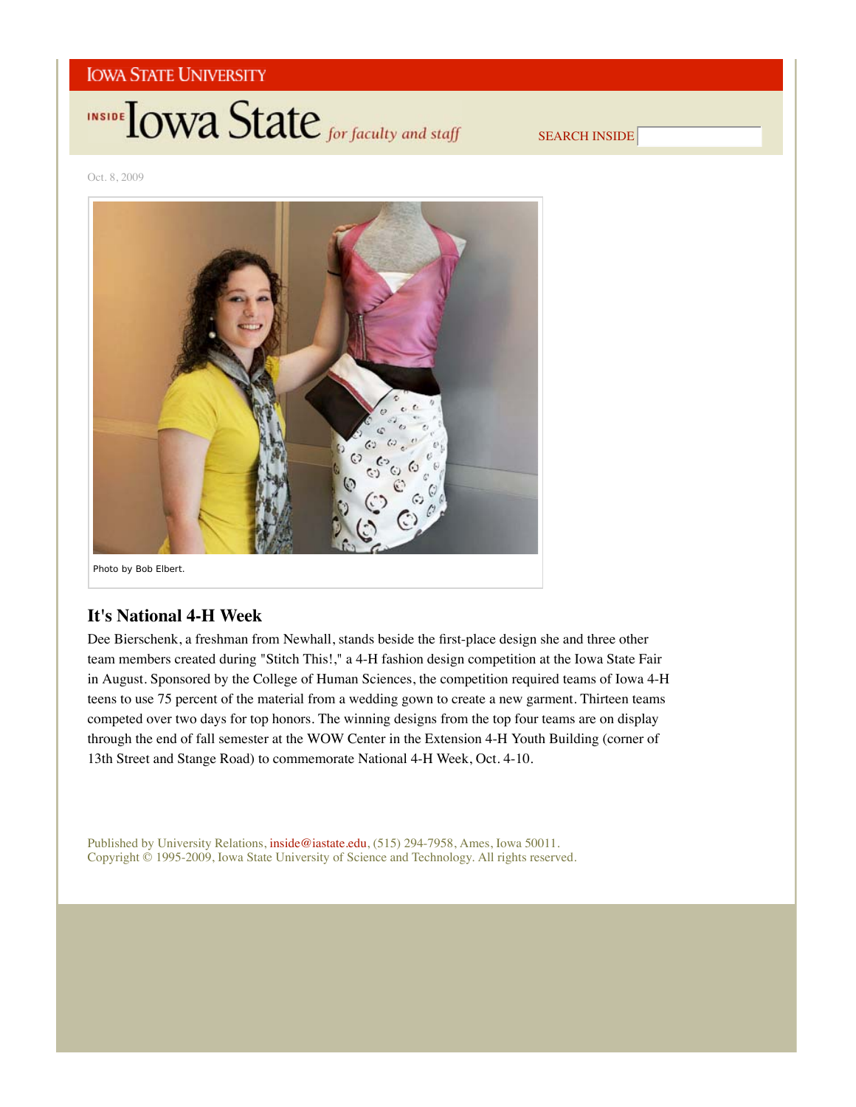

SEARCH INSIDE

Oct. 8, 2009



## **It's National 4-H Week**

Dee Bierschenk, a freshman from Newhall, stands beside the first-place design she and three other team members created during "Stitch This!," a 4-H fashion design competition at the Iowa State Fair in August. Sponsored by the College of Human Sciences, the competition required teams of Iowa 4-H teens to use 75 percent of the material from a wedding gown to create a new garment. Thirteen teams competed over two days for top honors. The winning designs from the top four teams are on display through the end of fall semester at the WOW Center in the Extension 4-H Youth Building (corner of 13th Street and Stange Road) to commemorate National 4-H Week, Oct. 4-10.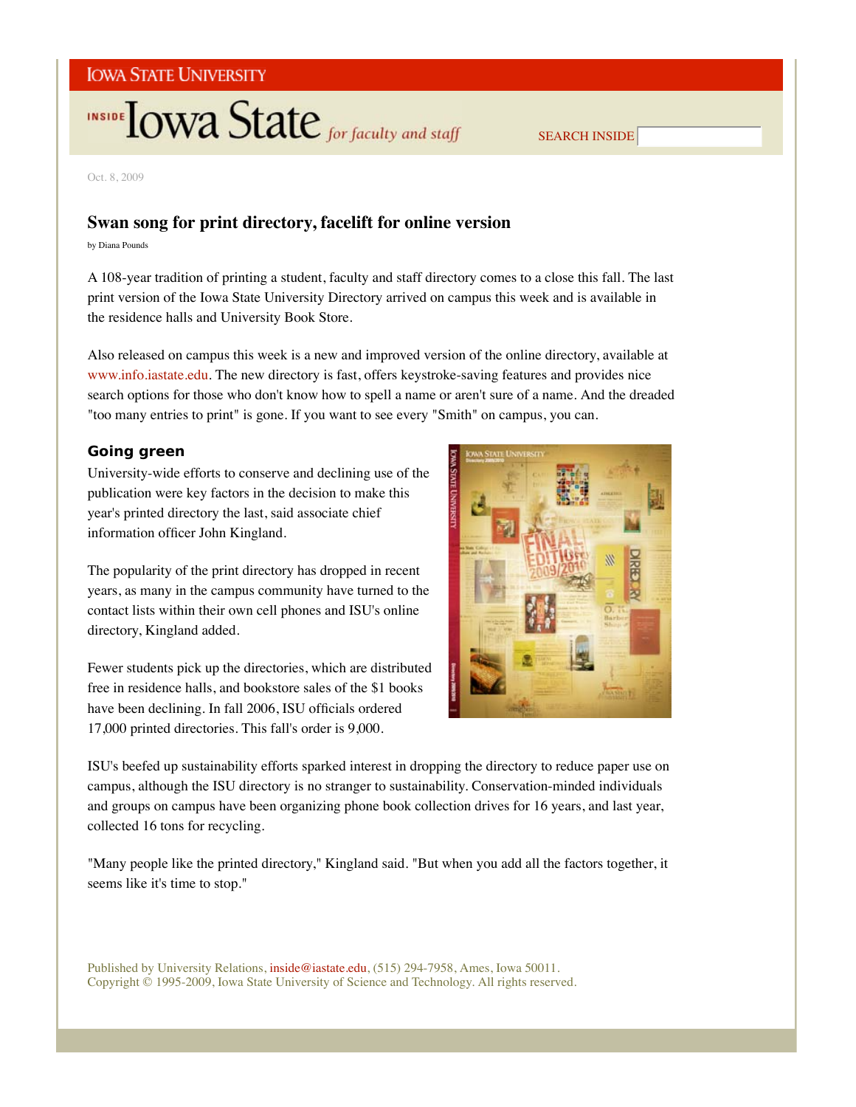# INSIDE TOWA State for faculty and staff

SEARCH INSIDE

Oct. 8, 2009

# **Swan song for print directory, facelift for online version**

by Diana Pounds

A 108-year tradition of printing a student, faculty and staff directory comes to a close this fall. The last print version of the Iowa State University Directory arrived on campus this week and is available in the residence halls and University Book Store.

Also released on campus this week is a new and improved version of the online directory, available at www.info.iastate.edu. The new directory is fast, offers keystroke-saving features and provides nice search options for those who don't know how to spell a name or aren't sure of a name. And the dreaded "too many entries to print" is gone. If you want to see every "Smith" on campus, you can.

## **Going green**

University-wide efforts to conserve and declining use of the publication were key factors in the decision to make this year's printed directory the last, said associate chief information officer John Kingland.

The popularity of the print directory has dropped in recent years, as many in the campus community have turned to the contact lists within their own cell phones and ISU's online directory, Kingland added.

Fewer students pick up the directories, which are distributed free in residence halls, and bookstore sales of the \$1 books have been declining. In fall 2006, ISU officials ordered 17,000 printed directories. This fall's order is 9,000.



ISU's beefed up sustainability efforts sparked interest in dropping the directory to reduce paper use on campus, although the ISU directory is no stranger to sustainability. Conservation-minded individuals and groups on campus have been organizing phone book collection drives for 16 years, and last year, collected 16 tons for recycling.

"Many people like the printed directory," Kingland said. "But when you add all the factors together, it seems like it's time to stop."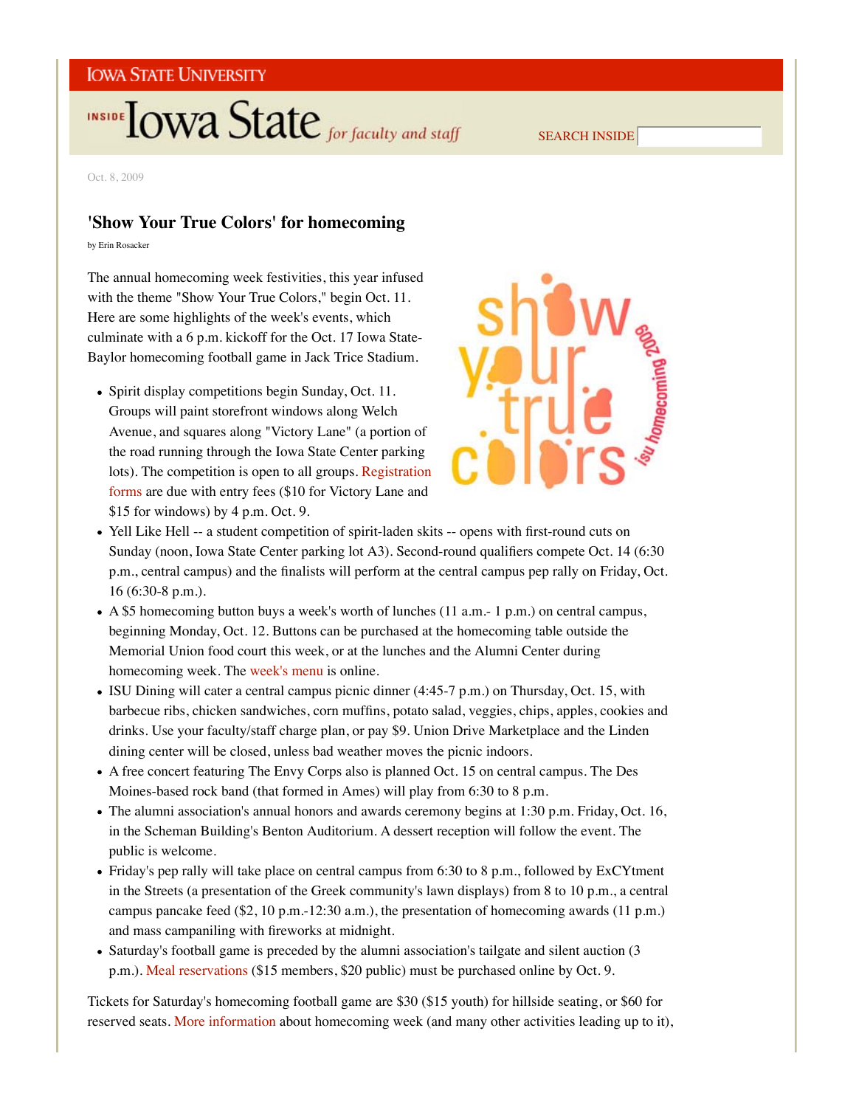# INSIDE TOWA State for faculty and staff

SEARCH INSIDE

Oct. 8, 2009

# **'Show Your True Colors' for homecoming**

by Erin Rosacker

The annual homecoming week festivities, this year infused with the theme "Show Your True Colors," begin Oct. 11. Here are some highlights of the week's events, which culminate with a 6 p.m. kickoff for the Oct. 17 Iowa State-Baylor homecoming football game in Jack Trice Stadium.

Spirit display competitions begin Sunday, Oct. 11. Groups will paint storefront windows along Welch Avenue, and squares along "Victory Lane" (a portion of the road running through the Iowa State Center parking lots). The competition is open to all groups. Registration forms are due with entry fees (\$10 for Victory Lane and \$15 for windows) by 4 p.m. Oct. 9.



- Yell Like Hell -- a student competition of spirit-laden skits -- opens with first-round cuts on Sunday (noon, Iowa State Center parking lot A3). Second-round qualifiers compete Oct. 14 (6:30 p.m., central campus) and the finalists will perform at the central campus pep rally on Friday, Oct. 16 (6:30-8 p.m.).
- A \$5 homecoming button buys a week's worth of lunches (11 a.m.- 1 p.m.) on central campus, beginning Monday, Oct. 12. Buttons can be purchased at the homecoming table outside the Memorial Union food court this week, or at the lunches and the Alumni Center during homecoming week. The week's menu is online.
- ISU Dining will cater a central campus picnic dinner (4:45-7 p.m.) on Thursday, Oct. 15, with barbecue ribs, chicken sandwiches, corn muffins, potato salad, veggies, chips, apples, cookies and drinks. Use your faculty/staff charge plan, or pay \$9. Union Drive Marketplace and the Linden dining center will be closed, unless bad weather moves the picnic indoors.
- A free concert featuring The Envy Corps also is planned Oct. 15 on central campus. The Des Moines-based rock band (that formed in Ames) will play from 6:30 to 8 p.m.
- The alumni association's annual honors and awards ceremony begins at 1:30 p.m. Friday, Oct. 16, in the Scheman Building's Benton Auditorium. A dessert reception will follow the event. The public is welcome.
- Friday's pep rally will take place on central campus from 6:30 to 8 p.m., followed by ExCYtment in the Streets (a presentation of the Greek community's lawn displays) from 8 to 10 p.m., a central campus pancake feed (\$2, 10 p.m.-12:30 a.m.), the presentation of homecoming awards (11 p.m.) and mass campaniling with fireworks at midnight.
- Saturday's football game is preceded by the alumni association's tailgate and silent auction (3) p.m.). Meal reservations (\$15 members, \$20 public) must be purchased online by Oct. 9.

Tickets for Saturday's homecoming football game are \$30 (\$15 youth) for hillside seating, or \$60 for reserved seats. More information about homecoming week (and many other activities leading up to it),